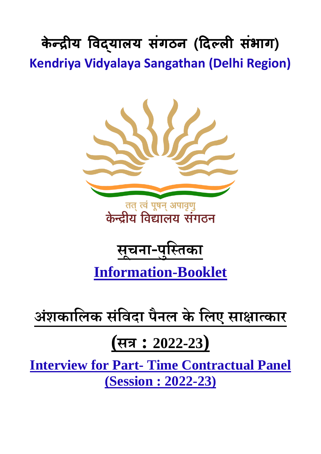# **के न्द्रीय विद्यालय संगठन (दिल्ली संभाग) Kendriya Vidyalaya Sangathan (Delhi Region)**



तत् त्वं पूर्षन् अपावृणु<br>केन्द्रीय विद्यालय संगठन

**स ू चना-प ु स्तिका**

**Information-Booklet**

# **अ शकास्िक स ंस्िदा पैनि के स्िए साक्षात्कार ं**

# **(सत्र : 2022-23)**

**Interview for Part- Time Contractual Panel (Session : 2022-23)**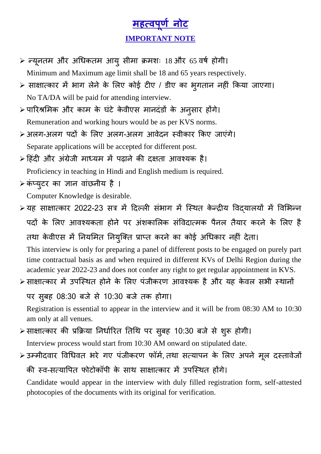# **महत्िप ू र्ण नोट IMPORTANT NOTE**

- ➢ न्य ू नतम और अधिकतम आय ुसीमा क्रमशः 18 और 65 वर्ष होगी। Minimum and Maximum age limit shall be 18 and 65 years respectively.
- ≻ साक्षात्कार में भाग लेने के लिए कोई टीए / डीए का भुगतान नहीं किया जाएगा। No TA/DA will be paid for attending interview.
- ≻ पारिश्रमिक और काम के घंटे केवीएस मानदंडों के अनुसार होंगे। Remuneration and working hours would be as per KVS norms.
- ➢ अलग-अलग पदों के ललए अलग-अलग आवेदन स्वीकार ककए जाएींगे। Separate applications will be accepted for different post.
- ➢ हहींदी और अींग्रेजी माध्यम में पढाने की दक्षता आवश्यक है। Proficiency in teaching in Hindi and English medium is required.
- ≻ कंप्युटर का ज्ञान वांछनीय है ।

Computer Knowledge is desirable.

≻यह साक्षात्कार 2022-23 सत्र में दिल्ली संभाग में स्थित केन्द्रीय विदयालयों में विभिन्न पदों के लिए आवश्यकता होने पर अंशकालिक संविदात्मक पैनल तैयार करने के लिए है तथा केवीएस में नियमित नियुक्ति प्राप्त करने का कोई अधिकार नहीं देता।

This interview is only for preparing a panel of different posts to be engaged on purely part time contractual basis as and when required in different KVs of Delhi Region during the academic year 2022-23 and does not confer any right to get regular appointment in KVS.

➢ साक्षात्कार में उपस्स्ित होने के ललए पींजीकरण आवश्यक है और यह के वल सभी स्िानों

पर सु बह 08:30 बजे से 10:30 बजे तक होगा।

Registration is essential to appear in the interview and it will be from 08:30 AM to 10:30 am only at all venues.

≻ साक्षात्कार की प्रक्रिया निर्धारित तिथि पर सुबह 10:30 बजे से शुरू होगी।

Interview process would start from 10:30 AM onward on stipulated date.

≻ उम्मीदवार विधिवत भरे गए पंजीकरण फॉर्म, तथा सत्यापन के लिए अपने मूल दस्तावेजों

## की स्व-सत्यापित फोटोकॉपी के साथ साक्षात्कार में उपस्थित होंगे।

Candidate would appear in the interview with duly filled registration form, self-attested photocopies of the documents with its original for verification.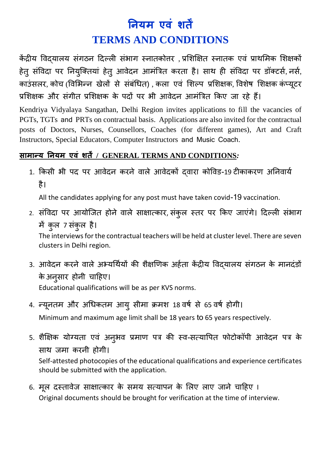# **ननयम एिं शर्तें TERMS AND CONDITIONS**

केंद्रीय विद्यालय संगठन दिल्ली संभाग स्नातकोत्तर , प्रशिक्षित स्नातक एवं प्राथमिक शिक्षकों हेतु संविदा पर नियुक्तियां हेतु आवेदन आमंत्रित करता है। साथ ही संविदा पर डॉक्टर्स,नसे, काउंसलर, कोच (विभिन्न खेलों से संबंधित) , कला एवं शिल्प प्रशिक्षक, विशेष शिक्षक कंप्यूटर प्रशिक्षक और संगीत प्रशिक्षक के पदों पर भी आवेदन आमंत्रित किए जा रहे हैं।

Kendriya Vidyalaya Sangathan, Delhi Region invites applications to fill the vacancies of PGTs, TGTs and PRTs on contractual basis. Applications are also invited for the contractual posts of Doctors, Nurses, Counsellors, Coaches (for different games), Art and Craft Instructors, Special Educators, Computer Instructors and Music Coach.

## **सामान्द्य ननयम एिं शर्तें / GENERAL TERMS AND CONDITIONS***:*

1. किसी भी पद पर आवेदन करने वाले आवेदकों द्वारा कोविड-19 टीकाकरण अनिवार्य है।

All the candidates applying for any post must have taken covid-19 vaccination.

2. सर्विदा पर आयोजित होने वाले साक्षात्कार, सकुल स्तर पर किए जाएगे। दिल्ली सभाग में कुल 7 सकुल है।

The interviews for the contractual teachers will be held at cluster level. There are seven clusters in Delhi region.

- 3. आवेदन करने वाले अभ्यर्थियों की शैक्षणिक अर्हता केंद्रीय विदयालय संगठन के मानदंडों केअन ुसार होनी चाहहए। Educational qualifications will be as per KVS norms.
- 4. न्य ू नतम और अधिकतम आय ुसीमा क्रमश 18 वर्ष से 65 वर्ष होगी। Minimum and maximum age limit shall be 18 years to 65 years respectively.
- 5. शैक्षिक योग्यता एवं अनुभव प्रमाण पत्र की स्व-सत्यापित फोटोकॉपी आवेदन पत्र के साथ जमा करनी होगी। Self-attested photocopies of the educational qualifications and experience certificates should be submitted with the application.
- 6. मूल दस्तावेज साक्षात्कार के समय सत्यापन के लिए लाए जाने चाहिए । Original documents should be brought for verification at the time of interview.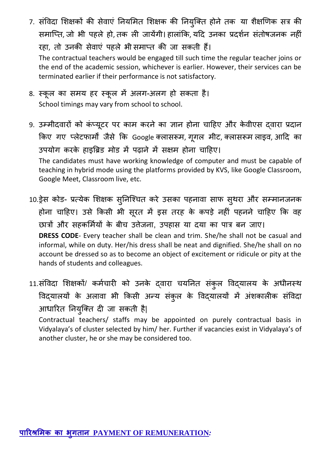7. सर्विदा शिक्षकों की सेवाए नियमित शिक्षक की नियुक्ति होने तक या शैक्षणिक सत्र की समाप्ति, जो भी पहले हो, तक ली जायेंगी। हालांकि, यदि उनका प्रदर्शन संतोषजनक नहीं रहा, तो उनकी सेवाएीं पहले भी समाप्त की जा सकती हैं। The contractual teachers would be engaged till such time the regular teacher joins or

the end of the academic session, whichever is earlier. However, their services can be terminated earlier if their performance is not satisfactory.

- 8. स्कूल का समय हर स्कूल में अलग-अलग हो सकता है। School timings may vary from school to school.
- 9. उम्मीदवारों को कप्यूटर पर काम करने का ज्ञान होना चाहिए और केवीएस द्वारा प्रदान किए गए प्लेटफार्मों जैसे कि Google क्लासरूम, गूगल मीट, क्लासरूम लाइव, आदि का उपयोग करके हाइत्रिड मोड में पढाने में सक्षम होना चाहहए। The candidates must have working knowledge of computer and must be capable of teaching in hybrid mode using the platforms provided by KVS, like Google Classroom, Google Meet, Classroom live, etc.
- 10.ड्रेस कोड- प्रत्येक शिक्षक सुनिश्चित करे उसका पहनावा साफ सुथरा और सम्मानजनक होना चाहिए। उसे किसी भी सूरत में इस तरह के कपड़े नहीं पहनने चाहिए कि वह छात्रों और सहकर्मियों के बीच उत्तेजना, उपहास या दया का पात्र बन जाए। **DRESS CODE**- Every teacher shall be clean and trim. She/he shall not be casual and informal, while on duty. Her/his dress shall be neat and dignified. She/he shall on no account be dressed so as to become an object of excitement or ridicule or pity at the hands of students and colleagues.
- 11.सर्विदा शिक्षको/ कर्मचारी को उनके द्वारा चर्यानेत सकुल विद्यालय के अधीनस्थ विद्यालयों के अलावा भी किसी अन्य संकुल के विद्यालयों में अशकालीक सर्विदा आधारित नियुक्ति दी जा सकती है|

Contractual teachers/ staffs may be appointed on purely contractual basis in Vidyalaya's of cluster selected by him/ her. Further if vacancies exist in Vidyalaya's of another cluster, he or she may be considered too.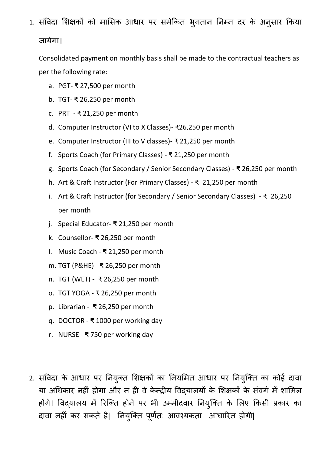## 1. सर्विदा शिक्षकों को मासिक आधार पर समेकित भुगतान निम्न दर के अनुसार किया

जायेगा।

Consolidated payment on monthly basis shall be made to the contractual teachers as per the following rate:

- a. PGT- ₹ 27,500 per month
- b. TGT- ₹ 26,250 per month
- c. PRT ₹ 21,250 per month
- d. Computer Instructor (VI to X Classes)- ₹26,250 per month
- e. Computer Instructor (III to V classes)- ₹ 21,250 per month
- f. Sports Coach (for Primary Classes) ₹ 21,250 per month
- g. Sports Coach (for Secondary / Senior Secondary Classes) ₹ 26,250 per month
- h. Art & Craft Instructor (For Primary Classes) ₹ 21,250 per month
- i. Art & Craft Instructor (for Secondary / Senior Secondary Classes) ₹ 26,250 per month
- j. Special Educator- ₹ 21,250 per month
- k. Counsellor- ₹ 26,250 per month
- l. Music Coach ₹ 21,250 per month
- m. TGT (P&HE) ₹ 26,250 per month
- n. TGT (WET) ₹ 26,250 per month
- o. TGT YOGA ₹ 26,250 per month
- p. Librarian ₹ 26,250 per month
- q. DOCTOR ₹ 1000 per working day
- r. NURSE ₹ 750 per working day
- 2. सर्विदा के आधार पर नियुक्त शिक्षकों का नियमित आधार पर नियुक्ति का कोई दावा या अधिकार नहीं होगा और न ही वे केन्द्रीय विद्यालयों के शिक्षकों के संवर्ग में शामिल होंगे। विद्यालय में रिक्ति होने पर भी उम्मीदवार नियुक्ति के लिए किसी प्रकार का दावा नहीं कर सकते हैं| नियुक्ति पूर्णतः आवश्यकता आधारित होगी|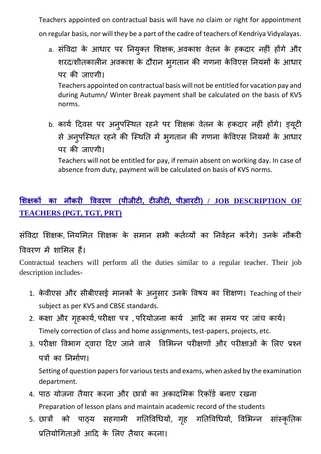Teachers appointed on contractual basis will have no claim or right for appointment on regular basis, nor will they be a part of the cadre of teachers of Kendriya Vidyalayas.

a. सर्विदा के आधार पर नियुक्त शिक्षक,अवकाश वेतन के हकदार नहीं होंगे और शरद/शीतकालीन अवकाश के दौरान भुगतान की गणना केविएस नियमों के आधार पर की जाएगी।

Teachers appointed on contractual basis will not be entitled for vacation pay and during Autumn/ Winter Break payment shall be calculated on the basis of KVS norms.

b. कार्य दिवस पर अनुपस्थित रहने पर शिक्षक वेतन के हकदार नहीं होंगे। ड्यूटी से अनुपस्थित रहने की स्थिति में भुगतान की गणना केविएस नियमों के आधार पर की जाएगी।

Teachers will not be entitled for pay, if remain absent on working day. In case of absence from duty, payment will be calculated on basis of KVS norms.

# **मशक्षकों का नौकिी विििर् (पीजीटी, टीजीटी, पीआिटी) / JOB DESCRIPTION OF TEACHERS (PGT, TGT, PRT)**

संविदा शिक्षक, नियमित शिक्षक के समान सभी कर्तव्यों का निर्वहन करेंगे। उनके नौकरी वववरण में शालमल हैं।

Contractual teachers will perform all the duties similar to a regular teacher. Their job description includes-

- 1. केवीएस और सीबीएसई मानकों के अन ुसार उनके ववर्य का लशक्षण। Teaching of their subject as per KVS and CBSE standards.
- 2. कक्षा और गृहकार्य,परीक्षा पत्र ,परियोजना कार्य आदि का समय पर जाच कार्य। Timely correction of class and home assignments, test-papers, projects, etc.
- 3. परीक्षा विभाग दवारा दिए जाने वाले विभिन्न परीक्षणों और परीक्षाओं के लिए प्रश्न पत्रों का निर्माण।

Setting of question papers for various tests and exams, when asked by the examination department.

- 4. पाठ योजना तैयार करना और छात्रों का अकादमिक रिकॉर्ड बनाए रखना Preparation of lesson plans and maintain academic record of the students
- 5. छात्रों को पाठ्य सहगामी गतिविधियो, गृह गतिविधियो, विभिन्न सांस्कृ ृ नतक प्रतियोगिताओं आदि के लिए तैयार करना।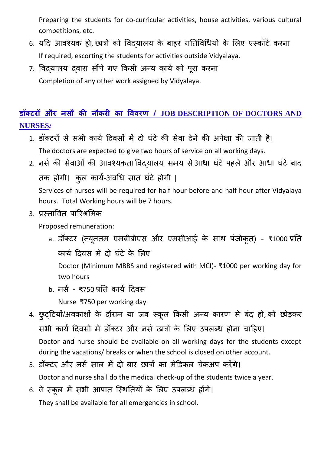Preparing the students for co-curricular activities, house activities, various cultural competitions, etc.

- 6. यदि आवश्यक हो, छात्रों को विद्यालय के बाहर गतिविधियों के लिए एस्कॉर्ट करना If required, escorting the students for activities outside Vidyalaya.
- 7. विद्यालय द्वारा सौंपे गए किसी अन्य कार्य को पूरा करना Completion of any other work assigned by Vidyalaya.

**डॉक्टिों औि नसों की नौकिी का विििर् / JOB DESCRIPTION OF DOCTORS AND NURSES***:*

- 1. डॉक्टरों से सभी कार्य दिवसों में दो घंटे की सेवा देने की अपेक्षा की जाती है। The doctors are expected to give two hours of service on all working days.
- 2. नर्स की सेवाओं की आवश्यकता विदयालय समय से आधा घंटे पहले और आधा घंटे बाद तक होगी। कुल कार्य-अवधि सात घटे होगी | Services of nurses will be required for half hour before and half hour after Vidyalaya hours. Total Working hours will be 7 hours.
- 3. प्रस्तावित पारिश्रमिक

Proposed remuneration:

a. डॉक्टर (न्यूनतम एमबीबीएस और एमसीआई के साथ पजीकृत) - ₹1000 प्रति कार्य दिवस मे दो घंटे के लिए

Doctor (Minimum MBBS and registered with MCI)- ₹1000 per working day for two hours

b. नर्स - ₹750 प्रति कार्य दिवस

Nurse ₹750 per working day

- 4. छुट्टियो/अवकाशों के दौरान या जब स्कूल किसी अन्य कारण से बंद हो, को छोड़कर सभी कार्य दिवसों में डॉक्टर और नर्स छात्रों के लिए उपलब्ध होना चाहिए। Doctor and nurse should be available on all working days for the students except during the vacations/ breaks or when the school is closed on other account.
- 5. डॉक्टर और नर्स साल में दो बार छात्रों का मेडिकल चेकअप करेंगे। Doctor and nurse shall do the medical check-up of the students twice a year.
- 6. वे स्कूल में सभी आपात स्थितियों के लिए उपलब्ध होंगे। They shall be available for all emergencies in school.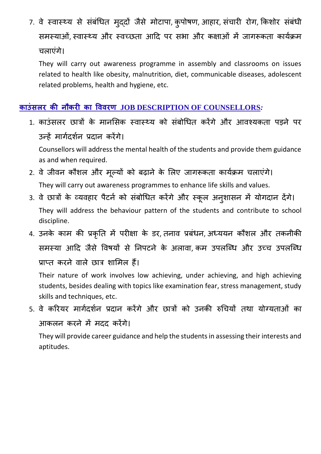7. वे स्वास्थ्य से सर्बाधेत मुद्दो जैसे मोटापा, कुर्पाषण, आहार, सचारी रोग, किशोर सबधी समस्याओं, स्वास्थ्य और स्वच्छता आदि पर सभा और कक्षाओं में जागरूकता कार्यक्रम चलाएंगे।

They will carry out awareness programme in assembly and classrooms on issues related to health like obesity, malnutrition, diet, communicable diseases, adolescent related problems, health and hygiene, etc.

### **काउं सलि की नौकिी का विििर् JOB DESCRIPTION OF COUNSELLORS***:*

1. काउंसलर छात्रों के मानसिक स्वास्थ्य को संबोधित करेंगे और आवश्यकता पडने पर उन्हें मार्गदर्शन प्रदान करेंगे।

Counsellors will address the mental health of the students and provide them guidance as and when required.

- 2. वे जीवन कौशल और मूल्यों को बढ़ाने के लिए जागरूकता कार्यक्रम चलाएंगे। They will carry out awareness programmes to enhance life skills and values.
- 3. वे छात्रों के व्यवहार पैटने को सर्बोधित करेंगे और स्कूल अनुशासन में योगदान देंगे। They will address the behaviour pattern of the students and contribute to school discipline.
- 4. उनके काम की प्रकृति में परीक्षा के डर, तनाव प्रबंधन, अध्ययन कौशल और तकनीकी समस्या आदि जैसे विषयों से निपटने के अलावा, कम उपलब्धि और उच्च उपलब्धि प्राप्त करने वाले छात्र शालमल हैं।

Their nature of work involves low achieving, under achieving, and high achieving students, besides dealing with topics like examination fear, stress management, study skills and techniques, etc.

5. वे कररयर मागषदशषन प्रदान करेंगे और छात्रों को उनकी रुधचयों तिा योग्यताओीं का आकलन करने में मदद करेंगे।

They will provide career guidance and help the students in assessing their interests and aptitudes.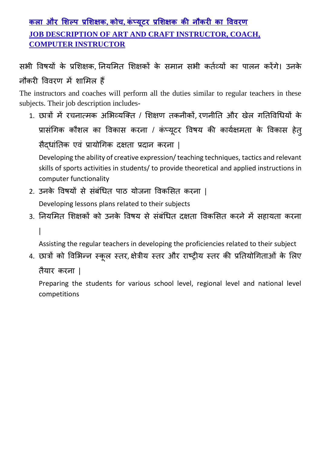# **कला औि मशल्प प्रमशक्षक, कोच, कंप्य ू टि प्रमशक्षक की नौकिी का विििर् JOB DESCRIPTION OF ART AND CRAFT INSTRUCTOR, COACH, COMPUTER INSTRUCTOR**

सभी विषयों के प्रशिक्षक, नियमित शिक्षकों के समान सभी कर्तव्यों का पालन करेंगे। उनके नौकरी वववरण में शालमल हैं

The instructors and coaches will perform all the duties similar to regular teachers in these subjects. Their job description includes**-**

1. छात्रों में रचनात्मक अभिव्यक्ति / शिक्षण तकनीकों, रणनीति और खेल गतिविधियों के प्रासंगिक कौशल का विकास करना / कंप्यूटर विषय की कार्यक्षमता के विकास हेत् सैद्धांतिक एवं प्रायोगिक दक्षता प्रदान करना |

Developing the ability of creative expression/ teaching techniques, tactics and relevant skills of sports activities in students/ to provide theoretical and applied instructions in computer functionality

2. उनके विषयों से संबंधित पाठ योजना विकसित करना |

Developing lessons plans related to their subjects

3. नियमित शिक्षकों को उनके विषय से संबंधित दक्षता विकसित करने में सहायता करना |

Assisting the regular teachers in developing the proficiencies related to their subject

4. छात्रों को विभिन्न स्कूल स्तर,क्षेत्रीय स्तर और राष्ट्रीय स्तर की प्रतियोगिताओं के लिए तैयार करना |

Preparing the students for various school level, regional level and national level competitions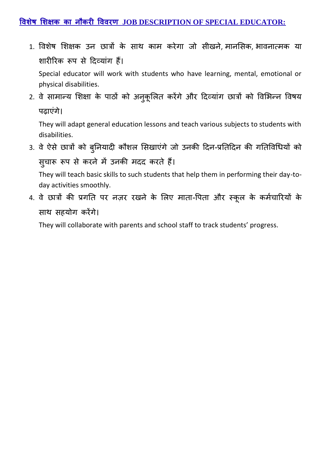### **विशेष मशक्षक का नौकिी विििर् JOB DESCRIPTION OF SPECIAL EDUCATOR:**

1. विशेष शिक्षक उन छात्रों के साथ काम करेगा जो सीखने, मानसिक, भावनात्मक या शारीरिक रूप से दिव्यांग हैं।

Special educator will work with students who have learning, mental, emotional or physical disabilities.

2. वे सामान्य शिक्षा के पाठों को अनुकूर्तित करेंगे और दिव्यांग छात्रों को विभिन्न विषय पढाएंगे।

They will adapt general education lessons and teach various subjects to students with disabilities.

3. वे ऐसे छात्रों को बुनियादी कौशल सिखाएगे जो उनकी दिन-प्रतिदिन की गतिविधियों को सु चारू रूप से करने में उनकी मदद करते हैं।

They will teach basic skills to such students that help them in performing their day-today activities smoothly.

4. वे छात्रों की प्रगति पर नज़र रखने के लिए माता-पिता और स्कूल के कर्मचारियों के साथ सहयोग करेंगे।

They will collaborate with parents and school staff to track students' progress.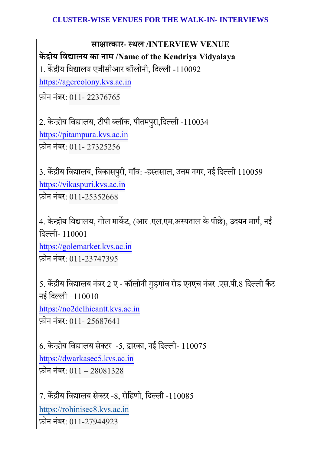### **CLUSTER-WISE VENUES FOR THE WALK-IN- INTERVIEWS**

### **साक्षात्कार- स्थल /INTERVIEW VENUE**

**कें द्रीय विद्यालय का नाम /Name of the Kendriya Vidyalaya**

1. कें द्रीय विद्यालय एजीसीआर कॉलोनी, विल्ली -110092

[https://agcrcolony.kvs.ac.in](https://agcrcolony.kvs.ac.in/)

फोन नंबर:011- 22376765

2. के न्द्द्रीय विद्यालय, टीपी ब्लॉक, पीतमप ु रा,विल्ली -110034

[https://pitampura.kvs.ac.in](https://pitampura.kvs.ac.in/) फोन नंबर:011- 27325256

3. केंद्रीय विद्यालय, विकासपुरी, गाँव: -हस्तसाल, उत्तम नगर, नई दिल्ली 110059 [https://vikaspuri.kvs.ac.in](https://vikaspuri.kvs.ac.in/) फोन नंबर:011-25352668

4. केन्द्रीय विद्यालय, गोल मार्केट, (आर .एल.एम.अस्पताल के पीछे), उदयन मार्ग, नई विल्ली-110001

[https://golemarket.kvs.ac.in](https://golemarket.kvs.ac.in/) फोन नंबर:011-23747395

5. केंद्रीय विद्यालय नंबर 2 ए - कॉलोनी गुड़गांव रोड एनएच नंबर .एस.पी.8 दिल्ली कैंट नई विल्ली –110010 [https://no2delhicantt.kvs.ac.in](https://no2delhicantt.kvs.ac.in/) फोन नंबर:011- 25687641

6. के न्द्द्रीय विद्यालय सेक्टर -5, द्वारका, नई विल्ली- 110075 [https://dwarkasec5.kvs.ac.in](https://dwarkasec5.kvs.ac.in/) फोन नंबर:011 –28081328

7. कें द्रीय विद्यालय सेक्टर -8, रोवहणी, विल्ली -110085 [https://rohinisec8.kvs.ac.in](https://rohinisec8.kvs.ac.in/) फोन नंबर:011-27944923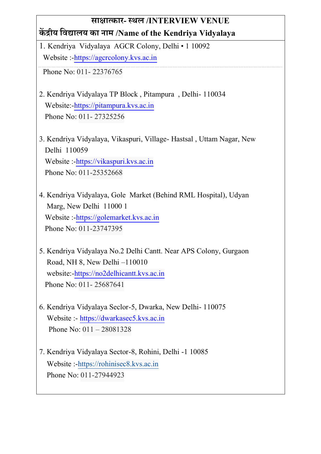### **साक्षात्कार- स्थल /INTERVIEW VENUE**

## **कें द्रीय विद्यालय का नाम /Name of the Kendriya Vidyalaya**

1. Kendriya Vidyalaya AGCR Colony, Delhi • 1 10092 Website :[-https://agcrcolony.kvs.ac.in](https://agcrcolony.kvs.ac.in/)

Phone No: 011- 22376765

- 2. Kendriya Vidyalaya TP Block , Pitampura , Delhi- 110034 Website:[-https://pitampura.kvs.ac.in](https://pitampura.kvs.ac.in/) Phone No: 011- 27325256
- 3. Kendriya Vidyalaya, Vikaspuri, Village- Hastsal , Uttam Nagar, New Delhi 110059 Website :[-https://vikaspuri.kvs.ac.in](https://vikaspuri.kvs.ac.in/) Phone No: 011-25352668
- 4. Kendriya Vidyalaya, Gole Market (Behind RML Hospital), Udyan Marg, New Delhi 11000 1 Website :[-https://golemarket.kvs.ac.in](https://golemarket.kvs.ac.in/) Phone No: 011-23747395
- 5. Kendriya Vidyalaya No.2 Delhi Cantt. Near APS Colony, Gurgaon Road, NH 8, New Delhi –110010 website:[-https://no2delhicantt.kvs.ac.in](https://no2delhicantt.kvs.ac.in/) Phone No: 011- 25687641
- 6. Kendriya Vidyalaya Seclor-5, Dwarka, New Delhi-110075 Website :- [https://dwarkasec5.kvs.ac.in](https://dwarkasec5.kvs.ac.in/) Phone No: 011 – 28081328
- 7. Kendriya Vidyalaya Sector-8, Rohini, Delhi -1 10085 Website :[-https://rohinisec8.kvs.ac.in](https://rohinisec8.kvs.ac.in/) Phone No: 011-27944923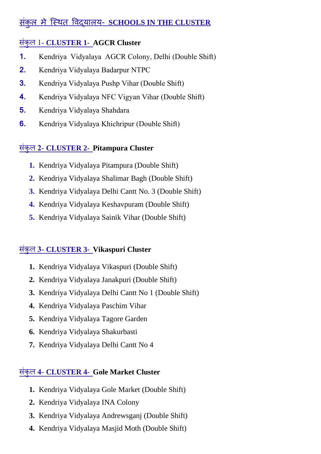# सींक ु ल मे स्स्ित ववद्यालय- **SCHOOLS IN THE CLUSTER**

# संक ु ल 1- **CLUSTER 1**- **AGCR Cluster**

- **1.** Kendriya Vidyalaya AGCR Colony, Delhi (Double Shift)
- **2.** Kendriya Vidyalaya Badarpur NTPC
- **3.** Kendriya Vidyalaya Pushp Vihar (Double Shift)
- **4.** Kendriya Vidyalaya NFC Vigyan Vihar (Double Shift)
- **5.** Kendriya Vidyalaya Shahdara
- **6.** Kendriya Vidyalaya Khichripur (Double Shift)

# संक ु ल **2**- **CLUSTER 2**- **Pitampura Cluster**

- **1.** Kendriya Vidyalaya Pitampura (Double Shift)
- **2.** Kendriya Vidyalaya Shalimar Bagh (Double Shift)
- **3.** Kendriya Vidyalaya Delhi Cantt No. 3 (Double Shift)
- **4.** Kendriya Vidyalaya Keshavpuram (Double Shift)
- **5.** Kendriya Vidyalaya Sainik Vihar (Double Shift)

# संक ु ल **3**- **CLUSTER 3**- **Vikaspuri Cluster**

- **1.** Kendriya Vidyalaya Vikaspuri (Double Shift)
- **2.** Kendriya Vidyalaya Janakpuri (Double Shift)
- **3.** Kendriya Vidyalaya Delhi Cantt No 1 (Double Shift)
- **4.** Kendriya Vidyalaya Paschim Vihar
- **5.** Kendriya Vidyalaya Tagore Garden
- **6.** Kendriya Vidyalaya Shakurbasti
- **7.** Kendriya Vidyalaya Delhi Cantt No 4

# संक ु ल **4**- **CLUSTER 4**- **Gole Market Cluster**

- **1.** Kendriya Vidyalaya Gole Market (Double Shift)
- **2.** Kendriya Vidyalaya INA Colony
- **3.** Kendriya Vidyalaya Andrewsganj (Double Shift)
- **4.** Kendriya Vidyalaya Masjid Moth (Double Shift)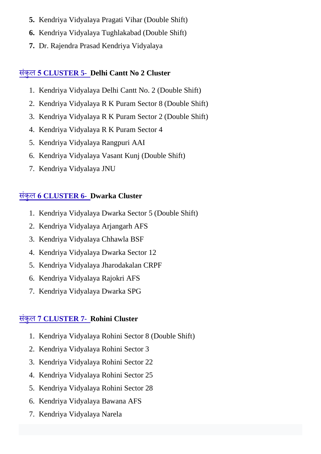- **5.** Kendriya Vidyalaya Pragati Vihar (Double Shift)
- **6.** Kendriya Vidyalaya Tughlakabad (Double Shift)
- **7.** Dr. Rajendra Prasad Kendriya Vidyalaya

# संक ु ल **5 CLUSTER 5**- **Delhi Cantt No 2 Cluster**

- 1. Kendriya Vidyalaya Delhi Cantt No. 2 (Double Shift)
- 2. Kendriya Vidyalaya R K Puram Sector 8 (Double Shift)
- 3. Kendriya Vidyalaya R K Puram Sector 2 (Double Shift)
- 4. Kendriya Vidyalaya R K Puram Sector 4
- 5. Kendriya Vidyalaya Rangpuri AAI
- 6. Kendriya Vidyalaya Vasant Kunj (Double Shift)
- 7. Kendriya Vidyalaya JNU

# संक ु ल **6 CLUSTER 6**- **Dwarka Cluster**

- 1. Kendriya Vidyalaya Dwarka Sector 5 (Double Shift)
- 2. Kendriya Vidyalaya Arjangarh AFS
- 3. Kendriya Vidyalaya Chhawla BSF
- 4. Kendriya Vidyalaya Dwarka Sector 12
- 5. Kendriya Vidyalaya Jharodakalan CRPF
- 6. Kendriya Vidyalaya Rajokri AFS
- 7. Kendriya Vidyalaya Dwarka SPG

# संक ु ल **7 CLUSTER 7**- **Rohini Cluster**

- 1. Kendriya Vidyalaya Rohini Sector 8 (Double Shift)
- 2. Kendriya Vidyalaya Rohini Sector 3
- 3. Kendriya Vidyalaya Rohini Sector 22
- 4. Kendriya Vidyalaya Rohini Sector 25
- 5. Kendriya Vidyalaya Rohini Sector 28
- 6. Kendriya Vidyalaya Bawana AFS
- 7. Kendriya Vidyalaya Narela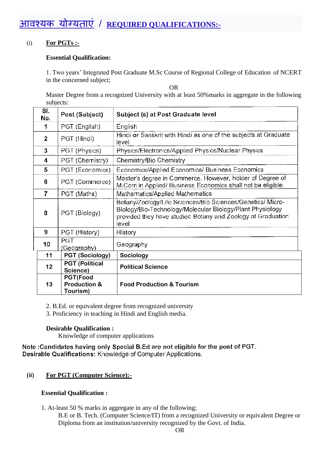# आवश्यक योग्यताएीं / **REQUIRED QUALIFICATIONS:-**

### (i) **For PGTs :-**

#### **Essential Qualification:**

1. Two years' Integrated Post Graduate M.Sc Course of Regional College of Education of NCERT in the concerned subject;

OR

Master Degree from a recognized University with at least 50%marks in aggregate in the following subjects:

| SI.<br>No.              | Post (Subject)                                               | Subject (s) at Post Graduate level                                                                                                                                                              |  |  |  |
|-------------------------|--------------------------------------------------------------|-------------------------------------------------------------------------------------------------------------------------------------------------------------------------------------------------|--|--|--|
| 1                       | PGT (English)                                                | English                                                                                                                                                                                         |  |  |  |
| $\overline{\mathbf{2}}$ | PGT (Hindi)                                                  | Hindi or Sanskrit with Hindi as one of the subjects at Graduate<br>level                                                                                                                        |  |  |  |
| 3                       | PGT (Physics)                                                | Physics/Electronics/Applied Physics/Nuclear Physics                                                                                                                                             |  |  |  |
| 4                       | PGT (Chemistry)                                              | Chemistry/Bio Chemistry                                                                                                                                                                         |  |  |  |
| 5                       | PGT (Economics)                                              | Economics/Applied Economics/ Business Economics                                                                                                                                                 |  |  |  |
| 6                       | PGT (Commerce)                                               | Master's degree in Commerce. However, holder of Degree of<br>M.Com in Applied/ Business Economics shall not be eligible.                                                                        |  |  |  |
| 7                       | PGT (Maths)                                                  | Mathematics/Applied Mathematics                                                                                                                                                                 |  |  |  |
| 8                       | PGT (Biology)                                                | Botany/Zoology/Life Sciences/Bio Sciences/Genetics/ Micro-<br>Biology/Bio-Technology/Molecular Biology/Plant Physiology<br>provided they have studied Botany and Zoology at Graduation<br>level |  |  |  |
| 9                       | PGT (History)                                                | History                                                                                                                                                                                         |  |  |  |
| 10                      | PGT<br>(Geography)                                           | Geography                                                                                                                                                                                       |  |  |  |
| 11                      | <b>PGT (Sociology)</b>                                       | Sociology                                                                                                                                                                                       |  |  |  |
|                         | <b>PGT (Political</b><br>12<br>Science)                      | <b>Political Science</b>                                                                                                                                                                        |  |  |  |
|                         | <b>PGT(Food</b><br><b>Production &amp;</b><br>13<br>Tourism) | <b>Food Production &amp; Tourism</b>                                                                                                                                                            |  |  |  |

2. B.Ed. or equivalent degree from recognized university

3. Proficiency in teaching in Hindi and English media.

#### **Desirable Qualification :**

Knowledge of computer applications

Note: Candidates having only Special B.Ed are not eligible for the post of PGT. Desirable Qualifications: Knowledge of Computer Applications.

#### **(ii) For PGT (Computer Science):-**

#### **Essential Qualification :**

1. At-least 50 % marks in aggregate in any of the following;

B.E or B. Tech. (Computer Science/IT) from a recognized University or equivalent Degree or Diploma from an institution/university recognized by the Govt. of India.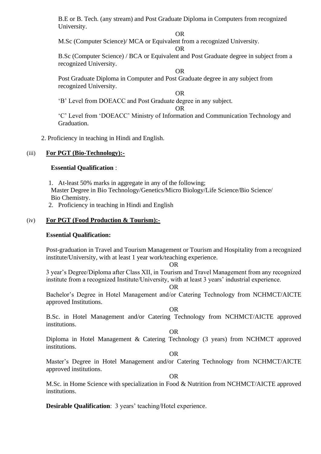B.E or B. Tech. (any stream) and Post Graduate Diploma in Computers from recognized University.

OR

M.Sc (Computer Science)/ MCA or Equivalent from a recognized University.

OR

B.Sc (Computer Science) / BCA or Equivalent and Post Graduate degree in subject from a recognized University.

OR

Post Graduate Diploma in Computer and Post Graduate degree in any subject from recognized University.

### OR

OR

'B' Level from DOEACC and Post Graduate degree in any subject.

'C' Level from 'DOEACC' Ministry of Information and Communication Technology and Graduation.

2. Proficiency in teaching in Hindi and English.

### (iii) **For PGT (Bio-Technology):-**

### **Essential Qualification** :

1. At-least 50% marks in aggregate in any of the following; Master Degree in Bio Technology/Genetics/Micro Biology/Life Science/Bio Science/ Bio Chemistry.

2. Proficiency in teaching in Hindi and English

### (iv) **For PGT (Food Production & Tourism):-**

#### **Essential Qualification:**

Post-graduation in Travel and Tourism Management or Tourism and Hospitality from a recognized institute/University, with at least 1 year work/teaching experience.

#### OR

3 year's Degree/Diploma after Class XII, in Tourism and Travel Management from any recognized institute from a recognized Institute/University, with at least 3 years' industrial experience.

OR

Bachelor's Degree in Hotel Management and/or Catering Technology from NCHMCT/AICTE approved Institutions.

#### OR

B.Sc. in Hotel Management and/or Catering Technology from NCHMCT/AICTE approved institutions.

#### OR

Diploma in Hotel Management & Catering Technology (3 years) from NCHMCT approved institutions.

OR

Master's Degree in Hotel Management and/or Catering Technology from NCHMCT/AICTE approved institutions.

OR

M.Sc. in Home Science with specialization in Food & Nutrition from NCHMCT/AICTE approved institutions.

**Desirable Qualification**: 3 years' teaching/Hotel experience.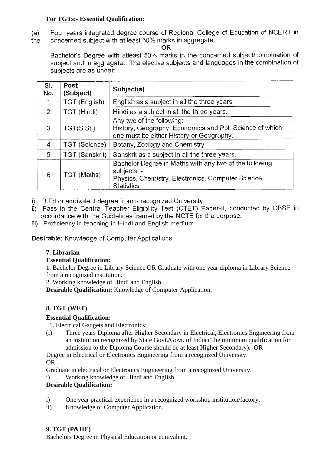### **For TGTs:- Essential Qualification:**

- Four years integrated degree course of Regional College of Education of NCERT in  $(a)$
- concerned subject with at least 50% marks in aggregate. the

#### OR.

Bachelor's Degree with atleast 50% marks in the concerned subject/combination of subject and in aggregate. The elective subjects and languages in the combination of subjects are as under:

| SI.<br>No. | Post<br>(Subject) | Subject(s)                                                                                                                                       |  |  |  |
|------------|-------------------|--------------------------------------------------------------------------------------------------------------------------------------------------|--|--|--|
| 1          | TGT (English)     | English as a subject in all the three years.                                                                                                     |  |  |  |
| 2          | TGT (Hindi)       | Hindi as a subject in all the three years.                                                                                                       |  |  |  |
| 3          | TGT(S.St)         | Any two of the following:<br>History, Geography, Economics and Pol. Science of which<br>one must be either History or Geography.                 |  |  |  |
| 4          | TGT (Science)     | Botany, Zoology and Chemistry.                                                                                                                   |  |  |  |
| 5          | TGT (Sanskrit)    | Sanskrit as a subject in all the three years.                                                                                                    |  |  |  |
| 6          | TGT (Maths)       | Bachelor Degree in Maths with any two of the following<br>subjects: -<br>Physics, Chemistry, Electronics, Computer Science,<br><b>Statistics</b> |  |  |  |

- i) B.Ed or equivalent degree from a recognized University.
- ii) Pass in the Central Teacher Eligibility Test (CTET) Paper-II, conducted by CBSE in accordance with the Guidelines framed by the NCTE for the purpose.
- iii) Proficiency in teaching in Hindi and English medium.

Desirable: Knowledge of Computer Applications.

### **7. Librarian**

### **Essential Qualification:**

1. Bachelor Degree in Library Science OR Graduate with one year diploma in Library Science from a recognized institution.

2. Working knowledge of Hindi and English.

**Desirable Qualification:** Knowledge of Computer Application.

### **8. TGT (WET)**

### **Essential Qualification:**

1. Electrical Gadgets and Electronics:

(i) Three years Diploma after Higher Secondary in Electrical, Electronics Engineering from an institution recognized by State Govt./Govt. of India (The minimum qualification for admission to the Diploma Course should be at least Higher Secondary). OR

Degree in Electrical or Electronics Engineering from a recognized University.

OR

Graduate in electrical or Electronics Engineering from a recognized University.

i) Working knowledge of Hindi and English.

### **Desirable Qualification:**

- i) One year practical experience in a recognized workshop institution/factory.
- ii) Knowledge of Computer Application.

### **9. TGT (P&HE)**

Bachelors Degree in Physical Education or equivalent.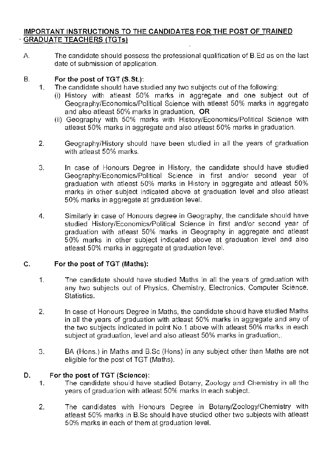### IMPORTANT INSTRUCTIONS TO THE CANDIDATES FOR THE POST OF TRAINED **GRADUATE TEACHERS (TGTs)**

А. The candidate should possess the professional qualification of B.Ed as on the last date of submission of application.

#### $B.$ For the post of TGT (S.St.):

- $1.$ The candidate should have studied any two subjects out of the following:
	- (i) History with atleast 50% marks in aggregate and one subject out of Geography/Economics/Political Science with atleast 50% marks in aggregate and also atleast 50% marks in graduation. OR
	- (ii) Geography with 50% marks with History/Economics/Political Science with atleast 50% marks in aggregate and also atleast 50% marks in graduation.
- Geography/History should have been studied in all the years of graduation 2. with atleast 50% marks.
- In case of Honours Degree in History, the candidate should have studied 3. Geography/Economics/Political Science in first and/or second year of graduation with atleast 50% marks in History in aggregate and atleast 50% marks in other subject indicated above at graduation level and also atleast 50% marks in aggregate at graduation level.
- $\overline{4}$ . Similarly in case of Honours degree in Geography, the candidate should have studied History/Economics/Political Science in first and/or second year of graduation with atleast 50% marks in Geography in aggregate and atleast 50% marks in other subject indicated above at graduation level and also atleast 50% marks in aggregate at graduation level.

#### C. For the post of TGT (Maths):

- $\mathbf{1}$ . The candidate should have studied Maths in all the years of graduation with any two subjects out of Physics, Chemistry, Electronics, Computer Science, Statistics.
- $2.$ In case of Honours Degree in Maths, the candidate should have studied Maths in all the years of graduation with atleast 50% marks in aggregate and any of the two subjects indicated in point No.1 above with atleast 50% marks in each subject at graduation, level and also atleast 50% marks in graduation.
- BA (Hons.) in Maths and B.Sc (Hons) in any subject other than Maths are not 3. eligible for the post of TGT (Maths).

#### D. For the post of TGT (Science):

- The candidate should have studied Botany, Zoology and Chemistry in all the  $\mathbf{1}$ . years of graduation with atleast 50% marks in each subject.
- $2.$ The candidates with Honours Degree in Botany/Zoology/Chemistry with atleast 50% marks in B.Sc should have studied other two subjects with atleast 50% marks in each of them at graduation level.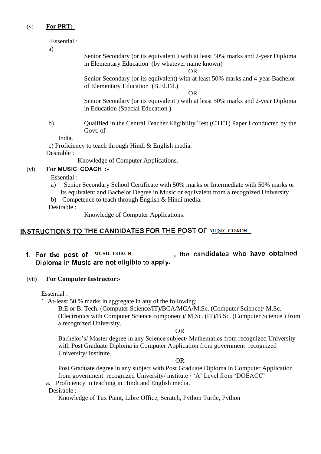### (v) **For PRT:-**

Essential :

a)

Senior Secondary (or its equivalent ) with at least 50% marks and 2-year Diploma in Elementary Education (by whatever name known)

OR

Senior Secondary (or its equivalent) with at least 50% marks and 4-year Bachelor of Elementary Education (B.El.Ed.)

OR

Senior Secondary (or its equivalent ) with at least 50% marks and 2-year Diploma in Education (Special Education )

b) Qualified in the Central Teacher Eligibility Test (CTET) Paper I conducted by the Govt. of

India.

c) Proficiency to teach through Hindi & English media.

Desirable :

Knowledge of Computer Applications.

### (vi) **For MUSIC COACH :-**

Essential :

- a) Senior Secondary School Certificate with 50% marks or Intermediate with 50% marks or its equivalent and Bachelor Degree in Music or equivalent from a recognized University
- b) Competence to teach through English & Hindi media.
- Desirable :

Knowledge of Computer Applications.

### INSTRUCTIONS TO THE CANDIDATES FOR THE POST OF MUSIC COACH

1. For the post of MUSIC COACH , the candidates who have obtained Diploma in Music are not eligible to apply.

### (vii) **For Computer Instructor:-**

Essential :

1. At-least 50 % marks in aggregate in any of the following;

B.E or B. Tech. (Computer Science/IT)/BCA/MCA/M.Sc. (Computer Science)/ M.Sc. (Electronics with Computer Science component)/ M.Sc. (IT)/B.Sc. (Computer Science ) from a recognized University.

#### OR

Bachelor's/ Master degree in any Science subject/ Mathematics from recognized University with Post Graduate Diploma in Computer Application from government recognized University/ institute.

OR

Post Graduate degree in any subject with Post Graduate Diploma in Computer Application from government recognized University/ institute / 'A' Level from 'DOEACC'

a. Proficiency in teaching in Hindi and English media.

### Desirable :

Knowledge of Tux Paint, Libre Office, Scratch, Python Turtle, Python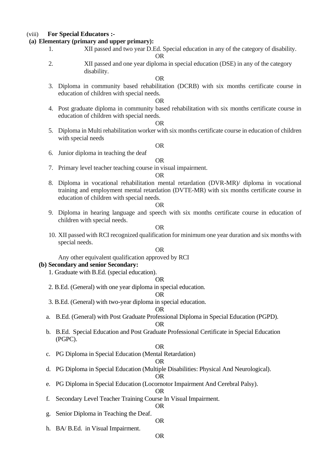#### (viii) **For Special Educators :-**

#### **(a) Elementary (primary and upper primary):**

1. XII passed and two year D.Ed. Special education in any of the category of disability.

OR

2. XII passed and one year diploma in special education (DSE) in any of the category disability.

OR

3. Diploma in community based rehabilitation (DCRB) with six months certificate course in education of children with special needs.

OR

4. Post graduate diploma in community based rehabilitation with six months certificate course in education of children with special needs.

#### OR

5. Diploma in Multi rehabilitation worker with six months certificate course in education of children with special needs

### OR

6. Junior diploma in teaching the deaf OR

### 7. Primary level teacher teaching course in visual impairment.

#### OR

8. Diploma in vocational rehabilitation mental retardation (DVR-MR)/ diploma in vocational training and employment mental retardation (DVTE-MR) with six months certificate course in education of children with special needs.

#### OR

9. Diploma in hearing language and speech with six months certificate course in education of children with special needs.

#### OR

10. XII passed with RCI recognized qualification for minimum one year duration and six months with special needs.

#### OR

Any other equivalent qualification approved by RCI

#### **(b) Secondary and senior Secondary:**

1. Graduate with B.Ed. (special education).

#### OR

2. B.Ed. (General) with one year diploma in special education.

#### OR

3. B.Ed. (General) with two-year diploma in special education.

#### OR

a. B.Ed. (General) with Post Graduate Professional Diploma in Special Education (PGPD).

#### OR

b. B.Ed. Special Education and Post Graduate Professional Certificate in Special Education (PGPC).

#### OR

c. PG Diploma in Special Education (Mental Retardation)

#### OR

d. PG Diploma in Special Education (Multiple Disabilities: Physical And Neurological).

#### OR

e. PG Diploma in Special Education (Locornotor Impairment And Cerebral Palsy).

#### OR

f. Secondary Level Teacher Training Course In Visual Impairment.

#### OR

- g. Senior Diploma in Teaching the Deaf. OR
- h. BA/ B.Ed. in Visual Impairment.

#### OR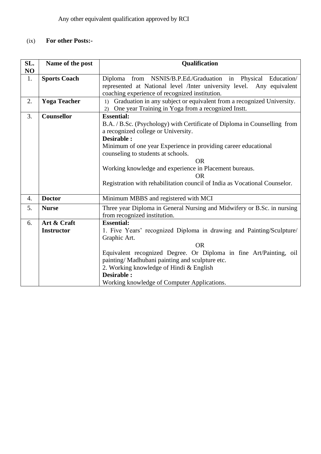# (ix) **For other Posts:-**

| SL. | Name of the post    | Qualification                                                                             |  |  |  |
|-----|---------------------|-------------------------------------------------------------------------------------------|--|--|--|
| NO  |                     |                                                                                           |  |  |  |
| 1.  | <b>Sports Coach</b> | from NSNIS/B.P.Ed./Graduation in<br>Physical Education/<br>Diploma                        |  |  |  |
|     |                     | represented at National level /Inter university level. Any equivalent                     |  |  |  |
|     |                     | coaching experience of recognized institution.                                            |  |  |  |
| 2.  | <b>Yoga Teacher</b> | Graduation in any subject or equivalent from a recognized University.<br>$\left( \right)$ |  |  |  |
|     |                     | One year Training in Yoga from a recognized Instt.<br>2)                                  |  |  |  |
| 3.  | <b>Counsellor</b>   | <b>Essential:</b>                                                                         |  |  |  |
|     |                     | B.A. / B.Sc. (Psychology) with Certificate of Diploma in Counselling from                 |  |  |  |
|     |                     | a recognized college or University.                                                       |  |  |  |
|     |                     | Desirable :                                                                               |  |  |  |
|     |                     | Minimum of one year Experience in providing career educational                            |  |  |  |
|     |                     | counseling to students at schools.                                                        |  |  |  |
|     |                     | <b>OR</b>                                                                                 |  |  |  |
|     |                     | Working knowledge and experience in Placement bureaus.                                    |  |  |  |
|     |                     | <b>OR</b>                                                                                 |  |  |  |
|     |                     | Registration with rehabilitation council of India as Vocational Counselor.                |  |  |  |
|     |                     |                                                                                           |  |  |  |
| 4.  | <b>Doctor</b>       | Minimum MBBS and registered with MCI                                                      |  |  |  |
| 5.  | <b>Nurse</b>        | Three year Diploma in General Nursing and Midwifery or B.Sc. in nursing                   |  |  |  |
|     |                     | from recognized institution.                                                              |  |  |  |
| 6.  | Art & Craft         | <b>Essential:</b>                                                                         |  |  |  |
|     | <b>Instructor</b>   | 1. Five Years' recognized Diploma in drawing and Painting/Sculpture/                      |  |  |  |
|     |                     | Graphic Art.                                                                              |  |  |  |
|     |                     | <b>OR</b>                                                                                 |  |  |  |
|     |                     | Equivalent recognized Degree. Or Diploma in fine Art/Painting, oil                        |  |  |  |
|     |                     | painting/ Madhubani painting and sculpture etc.                                           |  |  |  |
|     |                     | 2. Working knowledge of Hindi & English                                                   |  |  |  |
|     |                     | Desirable :                                                                               |  |  |  |
|     |                     | Working knowledge of Computer Applications.                                               |  |  |  |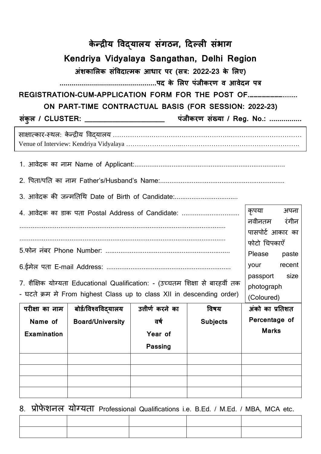| केन्द्रीय विद्यालय संगठन, दिल्ली संभाग |                                                                                                            |                  |                                                    |                                |  |
|----------------------------------------|------------------------------------------------------------------------------------------------------------|------------------|----------------------------------------------------|--------------------------------|--|
|                                        | Kendriya Vidyalaya Sangathan, Delhi Region                                                                 |                  |                                                    |                                |  |
|                                        |                                                                                                            |                  | अंशकालिक संविदात्मक आधार पर (सत्र: 2022-23 के लिए) |                                |  |
|                                        |                                                                                                            |                  |                                                    |                                |  |
|                                        | REGISTRATION-CUM-APPLICATION FORM FOR THE POST OF<br>ON PART-TIME CONTRACTUAL BASIS (FOR SESSION: 2022-23) |                  |                                                    |                                |  |
|                                        | संकुल / CLUSTER: _________________________ पंजीकरण संख्या / Reg. No.:                                      |                  |                                                    |                                |  |
|                                        |                                                                                                            |                  |                                                    |                                |  |
|                                        |                                                                                                            |                  |                                                    |                                |  |
|                                        |                                                                                                            |                  |                                                    |                                |  |
|                                        | 3. आवेदक की जन्मतिथि Date of Birth of Candidate:                                                           |                  |                                                    |                                |  |
|                                        | 4. आवेदक का डाक पता Postal Address of Candidate:                                                           |                  |                                                    | कृपया अपना                     |  |
|                                        |                                                                                                            |                  |                                                    | नवीनतम<br>रंगीन                |  |
|                                        |                                                                                                            |                  |                                                    | पासपोर्ट आकार का               |  |
|                                        | फोटो चिपकाएँ                                                                                               |                  |                                                    |                                |  |
|                                        |                                                                                                            |                  |                                                    | Please<br>paste<br>your recent |  |
|                                        |                                                                                                            |                  |                                                    | passport size                  |  |
|                                        | 7. शैक्षिक योग्यता Educational Qualification: - (उच्चतम शिक्षा से बारहवीं तक                               |                  |                                                    | photograph                     |  |
|                                        | - घटते क्रम मे From highest Class up to class XII in descending order)                                     |                  |                                                    | (Coloured)                     |  |
| परीक्षा का नाम                         | बोर्ड/विश्वविदयालय                                                                                         | उत्तीर्ण करने का | विषय                                               | अंको का प्रतिशत                |  |
| Name of                                | <b>Board/University</b>                                                                                    | वर्ष             | <b>Subjects</b>                                    | Percentage of                  |  |
| <b>Examination</b>                     |                                                                                                            | Year of          |                                                    | <b>Marks</b>                   |  |
|                                        |                                                                                                            | <b>Passing</b>   |                                                    |                                |  |
|                                        |                                                                                                            |                  |                                                    |                                |  |
|                                        |                                                                                                            |                  |                                                    |                                |  |
|                                        |                                                                                                            |                  |                                                    |                                |  |
|                                        |                                                                                                            |                  |                                                    |                                |  |

8. प्रोफेशनल योग्यता Professional Qualifications i.e. B.Ed. / M.Ed. / MBA, MCA etc.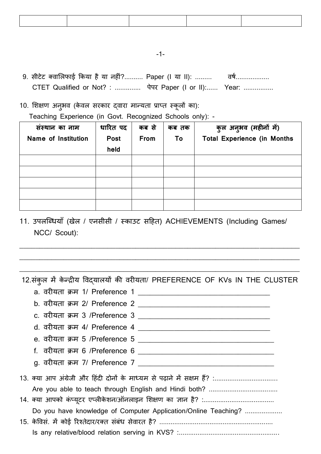-1-

- 9. सीटेट क्वालिफाई किया है या नहीं?.......... Paper (I या II): ......... वर्ष.................. CTET Qualified or Not? : .............. पेपर Paper (I or II):...... Year: ................
- 10. लशक्षण अनुभव (केवल सरकार द्वारा मान्यता प्राप्त स्कूलों का):

Teaching Experience (in Govt. Recognized Schools only): -

| सस्थान का नाम       | धारित पद    | कब से | कब तक | कुल अनुभव (महीनों में)             |
|---------------------|-------------|-------|-------|------------------------------------|
| Name of Institution | <b>Post</b> | From  | To    | <b>Total Experience (in Months</b> |
|                     | held        |       |       |                                    |
|                     |             |       |       |                                    |
|                     |             |       |       |                                    |
|                     |             |       |       |                                    |
|                     |             |       |       |                                    |
|                     |             |       |       |                                    |

11. उपलस्ब्ियाँ (खेल / एनसीसी / स्काउट सहहत) ACHIEVEMENTS (Including Games/ NCC/ Scout):

\_\_\_\_\_\_\_\_\_\_\_\_\_\_\_\_\_\_\_\_\_\_\_\_\_\_\_\_\_\_\_\_\_\_\_\_\_\_\_\_\_\_\_\_\_\_\_\_\_\_\_\_\_\_\_\_\_\_\_\_\_\_\_\_\_\_\_\_\_\_

\_\_\_\_\_\_\_\_\_\_\_\_\_\_\_\_\_\_\_\_\_\_\_\_\_\_\_\_\_\_\_\_\_\_\_\_\_\_\_\_\_\_\_\_\_\_\_\_\_\_\_\_\_\_\_\_\_\_\_\_\_\_\_\_\_\_\_\_\_\_

\_\_\_\_\_\_\_\_\_\_\_\_\_\_\_\_\_\_\_\_\_\_\_\_\_\_\_\_\_\_\_\_\_\_\_\_\_\_\_\_\_\_\_\_\_\_\_\_\_\_\_\_\_\_\_\_\_\_\_\_\_\_\_\_\_\_\_\_\_\_

| 12.संकृल में केन्द्रीय विद्यालयों की वरीयता/ PREFERENCE OF KVs IN THE CLUSTER |
|-------------------------------------------------------------------------------|
|                                                                               |
|                                                                               |
|                                                                               |
|                                                                               |
|                                                                               |
|                                                                               |
|                                                                               |
| 13. क्या आप अंग्रेजी और हिंदी दोनों के माध्यम से पढ़ाने में सक्षम हैं? :      |
|                                                                               |
|                                                                               |
| Do you have knowledge of Computer Application/Online Teaching?                |
|                                                                               |
|                                                                               |